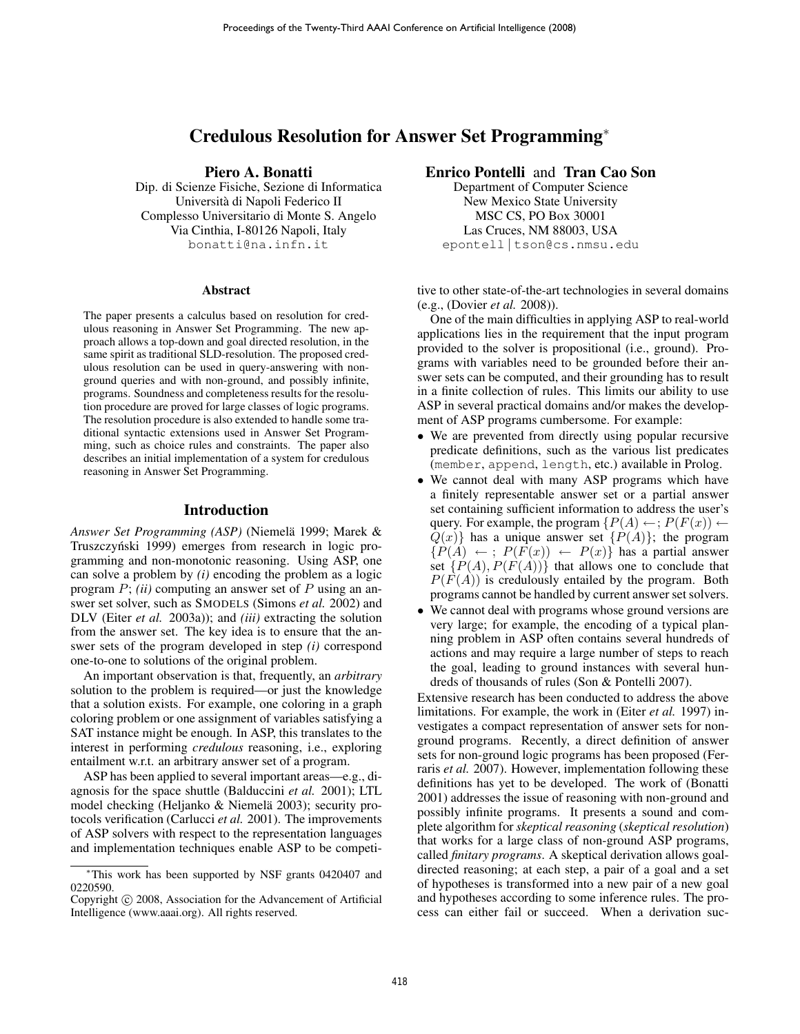# Credulous Resolution for Answer Set Programming<sup>∗</sup>

# Piero A. Bonatti

Dip. di Scienze Fisiche, Sezione di Informatica Universita di Napoli Federico II ` Complesso Universitario di Monte S. Angelo Via Cinthia, I-80126 Napoli, Italy bonatti@na.infn.it

#### Abstract

The paper presents a calculus based on resolution for credulous reasoning in Answer Set Programming. The new approach allows a top-down and goal directed resolution, in the same spirit as traditional SLD-resolution. The proposed credulous resolution can be used in query-answering with nonground queries and with non-ground, and possibly infinite, programs. Soundness and completeness results for the resolution procedure are proved for large classes of logic programs. The resolution procedure is also extended to handle some traditional syntactic extensions used in Answer Set Programming, such as choice rules and constraints. The paper also describes an initial implementation of a system for credulous reasoning in Answer Set Programming.

# Introduction

*Answer Set Programming (ASP)* (Niemela 1999; Marek & ¨ Truszczyński 1999) emerges from research in logic programming and non-monotonic reasoning. Using ASP, one can solve a problem by *(i)* encoding the problem as a logic program P; *(ii)* computing an answer set of P using an answer set solver, such as SMODELS (Simons *et al.* 2002) and DLV (Eiter *et al.* 2003a)); and *(iii)* extracting the solution from the answer set. The key idea is to ensure that the answer sets of the program developed in step *(i)* correspond one-to-one to solutions of the original problem.

An important observation is that, frequently, an *arbitrary* solution to the problem is required—or just the knowledge that a solution exists. For example, one coloring in a graph coloring problem or one assignment of variables satisfying a SAT instance might be enough. In ASP, this translates to the interest in performing *credulous* reasoning, i.e., exploring entailment w.r.t. an arbitrary answer set of a program.

ASP has been applied to several important areas—e.g., diagnosis for the space shuttle (Balduccini *et al.* 2001); LTL model checking (Heljanko & Niemelä 2003); security protocols verification (Carlucci *et al.* 2001). The improvements of ASP solvers with respect to the representation languages and implementation techniques enable ASP to be competi-

# Enrico Pontelli and Tran Cao Son

Department of Computer Science New Mexico State University MSC CS, PO Box 30001 Las Cruces, NM 88003, USA epontell | tson@cs.nmsu.edu

tive to other state-of-the-art technologies in several domains (e.g., (Dovier *et al.* 2008)).

One of the main difficulties in applying ASP to real-world applications lies in the requirement that the input program provided to the solver is propositional (i.e., ground). Programs with variables need to be grounded before their answer sets can be computed, and their grounding has to result in a finite collection of rules. This limits our ability to use ASP in several practical domains and/or makes the development of ASP programs cumbersome. For example:

- We are prevented from directly using popular recursive predicate definitions, such as the various list predicates (member, append, length, etc.) available in Prolog.
- We cannot deal with many ASP programs which have a finitely representable answer set or a partial answer set containing sufficient information to address the user's query. For example, the program  $\{P(A) \leftarrow; P(F(x)) \leftarrow\}$  $Q(x)$ } has a unique answer set  $\{P(A)\}$ ; the program  ${P(A) \leftarrow ; P(F(x)) \leftarrow P(x)}$  has a partial answer set  $\{P(A), P(F(A))\}$  that allows one to conclude that  $P(F(A))$  is credulously entailed by the program. Both programs cannot be handled by current answer set solvers.
- We cannot deal with programs whose ground versions are very large; for example, the encoding of a typical planning problem in ASP often contains several hundreds of actions and may require a large number of steps to reach the goal, leading to ground instances with several hundreds of thousands of rules (Son & Pontelli 2007).

Extensive research has been conducted to address the above limitations. For example, the work in (Eiter *et al.* 1997) investigates a compact representation of answer sets for nonground programs. Recently, a direct definition of answer sets for non-ground logic programs has been proposed (Ferraris *et al.* 2007). However, implementation following these definitions has yet to be developed. The work of (Bonatti 2001) addresses the issue of reasoning with non-ground and possibly infinite programs. It presents a sound and complete algorithm for *skeptical reasoning* (*skeptical resolution*) that works for a large class of non-ground ASP programs, called *finitary programs*. A skeptical derivation allows goaldirected reasoning; at each step, a pair of a goal and a set of hypotheses is transformed into a new pair of a new goal and hypotheses according to some inference rules. The process can either fail or succeed. When a derivation suc-

<sup>∗</sup>This work has been supported by NSF grants 0420407 and 0220590.

Copyright © 2008, Association for the Advancement of Artificial Intelligence (www.aaai.org). All rights reserved.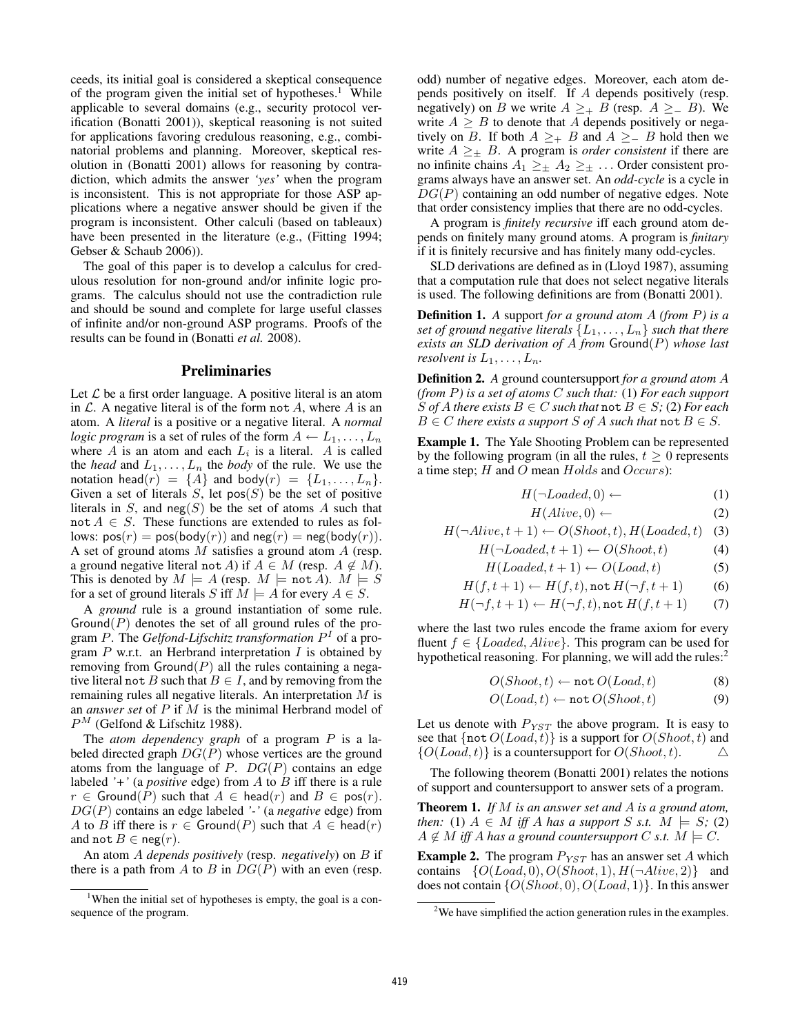ceeds, its initial goal is considered a skeptical consequence of the program given the initial set of hypotheses.<sup>1</sup> While applicable to several domains (e.g., security protocol verification (Bonatti 2001)), skeptical reasoning is not suited for applications favoring credulous reasoning, e.g., combinatorial problems and planning. Moreover, skeptical resolution in (Bonatti 2001) allows for reasoning by contradiction, which admits the answer *'yes'* when the program is inconsistent. This is not appropriate for those ASP applications where a negative answer should be given if the program is inconsistent. Other calculi (based on tableaux) have been presented in the literature (e.g., (Fitting 1994; Gebser & Schaub 2006)).

The goal of this paper is to develop a calculus for credulous resolution for non-ground and/or infinite logic programs. The calculus should not use the contradiction rule and should be sound and complete for large useful classes of infinite and/or non-ground ASP programs. Proofs of the results can be found in (Bonatti *et al.* 2008).

### Preliminaries

Let  $\mathcal L$  be a first order language. A positive literal is an atom in  $\mathcal L$ . A negative literal is of the form not A, where A is an atom. A *literal* is a positive or a negative literal. A *normal logic program* is a set of rules of the form  $A \leftarrow L_1, \ldots, L_n$ where A is an atom and each  $L_i$  is a literal. A is called the *head* and  $L_1, \ldots, L_n$  the *body* of the rule. We use the notation head $(r) = \{A\}$  and body $(r) = \{L_1, \ldots, L_n\}.$ Given a set of literals  $S$ , let pos $(S)$  be the set of positive literals in  $S$ , and neg(S) be the set of atoms A such that  $not A \in S$ . These functions are extended to rules as follows:  $pos(r) = pos(body(r))$  and  $neg(r) = neg(body(r))$ . A set of ground atoms M satisfies a ground atom A (resp. a ground negative literal not A) if  $A \in M$  (resp.  $A \notin M$ ). This is denoted by  $M \models A$  (resp.  $M \models \text{not } A$ ).  $M \models S$ for a set of ground literals S iff  $M \models A$  for every  $A \in S$ .

A *ground* rule is a ground instantiation of some rule.  $Ground(P)$  denotes the set of all ground rules of the program P. The *Gelfond-Lifschitz transformation* P <sup>I</sup> of a program  $P$  w.r.t. an Herbrand interpretation  $I$  is obtained by removing from  $Ground(P)$  all the rules containing a negative literal not B such that  $B \in I$ , and by removing from the remaining rules all negative literals. An interpretation M is an *answer set* of P if M is the minimal Herbrand model of  $P^{M}$  (Gelfond & Lifschitz 1988).

The *atom dependency graph* of a program P is a labeled directed graph  $DG(P)$  whose vertices are the ground atoms from the language of  $P$ .  $DG(P)$  contains an edge labeled *'+'* (a *positive* edge) from A to B iff there is a rule  $r \in \text{Ground}(P)$  such that  $A \in \text{head}(r)$  and  $B \in \text{pos}(r)$ . DG(P) contains an edge labeled *'-'* (a *negative* edge) from A to B iff there is  $r \in \text{Ground}(P)$  such that  $A \in \text{head}(r)$ and not  $B \in \text{neg}(r)$ .

An atom A *depends positively* (resp. *negatively*) on B if there is a path from A to B in  $DG(P)$  with an even (resp.

odd) number of negative edges. Moreover, each atom depends positively on itself. If A depends positively (resp. negatively) on B we write  $A \geq_{+} B$  (resp.  $A \geq_{-} B$ ). We write  $A \geq B$  to denote that A depends positively or negatively on *B*. If both  $A \geq_{+} B$  and  $A \geq_{-} B$  hold then we write  $A \geq_{\pm} B$ . A program is *order consistent* if there are no infinite chains  $A_1 \geq \pm A_2 \geq \pm \ldots$  Order consistent programs always have an answer set. An *odd-cycle* is a cycle in  $DG(P)$  containing an odd number of negative edges. Note that order consistency implies that there are no odd-cycles.

A program is *finitely recursive* iff each ground atom depends on finitely many ground atoms. A program is *finitary* if it is finitely recursive and has finitely many odd-cycles.

SLD derivations are defined as in (Lloyd 1987), assuming that a computation rule that does not select negative literals is used. The following definitions are from (Bonatti 2001).

Definition 1. *A* support *for a ground atom* A *(from* P*) is a set of ground negative literals*  $\{L_1, \ldots, L_n\}$  *such that there exists an SLD derivation of* A *from* Ground(P) *whose last resolvent is*  $L_1, \ldots, L_n$ *.* 

Definition 2. *A* ground countersupport *for a ground atom* A *(from* P*) is a set of atoms* C *such that:* (1) *For each support* S of A there exists  $B \in C$  such that  $\text{not } B \in S$ ; (2) For each  $B \in C$  *there exists a support*  $S$  *of*  $A$  *such that*  $\text{not } B \in S$ *.* 

Example 1. The Yale Shooting Problem can be represented by the following program (in all the rules,  $t \geq 0$  represents a time step;  $H$  and  $O$  mean  $Holds$  and  $Occurs$ :

$$
H(\neg loaded, 0) \leftarrow \qquad (1)
$$

$$
H(Alive,0) \leftarrow \tag{2}
$$

$$
H(\neg Alice, t+1) \leftarrow O(Show, t), H(Loaded, t) \quad (3)
$$

$$
H(\neg loaded, t+1) \leftarrow O(Show, t) \tag{4}
$$

$$
H(Loaded, t+1) \leftarrow O(Load, t) \tag{5}
$$

$$
H(f, t+1) \leftarrow H(f, t), \text{not } H(\neg f, t+1) \tag{6}
$$

$$
H(\neg f, t+1) \leftarrow H(\neg f, t), \text{not } H(f, t+1) \tag{7}
$$

where the last two rules encode the frame axiom for every fluent  $f \in \{ $Ioaded, Alive\}$ . This program can be used for$ hypothetical reasoning. For planning, we will add the rules: $<sup>2</sup>$ </sup>

$$
O(Show, t) \leftarrow \texttt{not}\, O(Load, t) \tag{8}
$$

$$
O(Load, t) \leftarrow \text{not } O(Show, t) \tag{9}
$$

Let us denote with  $P_{YST}$  the above program. It is easy to see that  $\{ \text{not } O(Load, t) \}$  is a support for  $O(Show, t)$  and  ${O}(Load, t)$  is a countersupport for  $O(Show, t)$ .  $\Delta$ 

The following theorem (Bonatti 2001) relates the notions of support and countersupport to answer sets of a program.

Theorem 1. *If* M *is an answer set and* A *is a ground atom, then:* (1)  $A \in M$  *iff* A *has a support* S *s.t.*  $M \models S$ ; (2)  $A \notin M$  *iff* A has a ground countersupport C *s.t.*  $M \models C$ .

**Example 2.** The program  $P_{YST}$  has an answer set A which contains  $\{O(Load, 0), O(Show, 1), H(\neg Alice, 2)\}\$  and does not contain  $\{O(Show, 0), O(Load, 1)\}\$ . In this answer

<sup>&</sup>lt;sup>1</sup>When the initial set of hypotheses is empty, the goal is a consequence of the program.

<sup>&</sup>lt;sup>2</sup>We have simplified the action generation rules in the examples.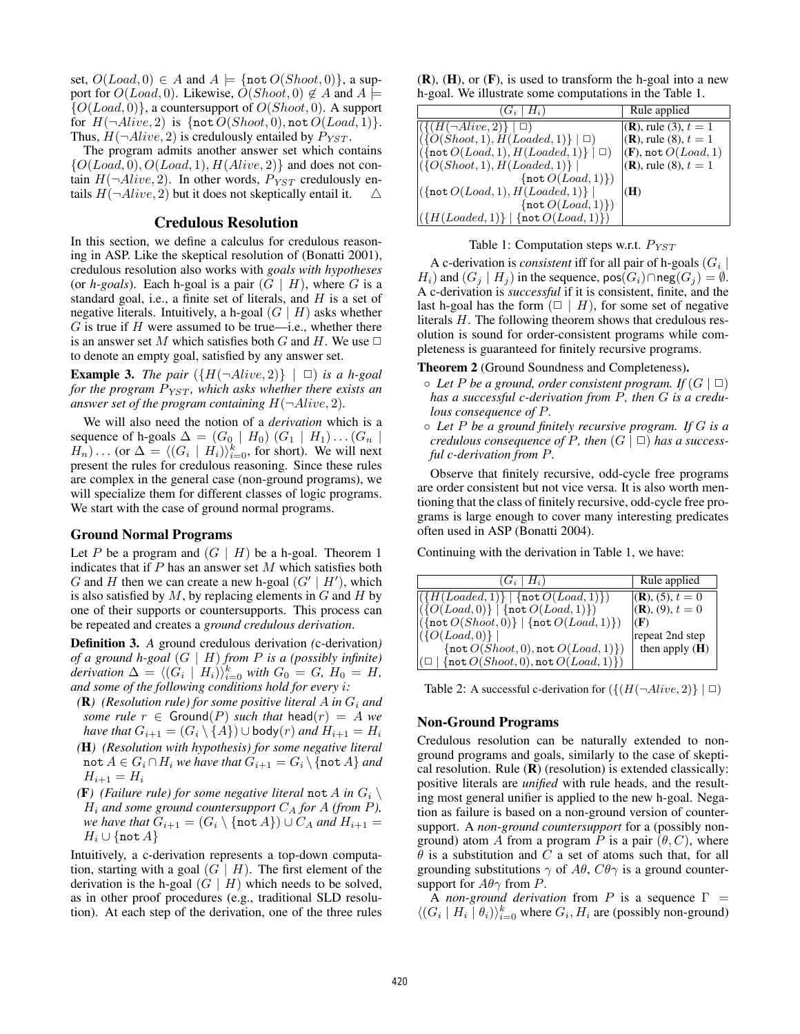set,  $O(Load, 0) \in A$  and  $A \models \{ \text{not } O(Show, 0) \}$ , a support for  $O(Load, 0)$ . Likewise,  $\tilde{O}(Show, 0) \notin A$  and  $A \models$  ${O}(Load, 0)$ , a countersupport of  $O(Show, 0)$ . A support for  $H(\neg Alice, 2)$  is  $\{\text{not } O(Show, 0), \text{not } O(Load, 1)\}.$ Thus,  $H(\neg Alice, 2)$  is credulously entailed by  $P_{YST}$ .

The program admits another answer set which contains  $\{O(Load, 0), O(Load, 1), H(Alive, 2)\}\$  and does not contain  $H(\neg Aliive, 2)$ . In other words,  $P_{YST}$  credulously entails  $H(\neg A live, 2)$  but it does not skeptically entail it.  $\triangle$ 

## Credulous Resolution

In this section, we define a calculus for credulous reasoning in ASP. Like the skeptical resolution of (Bonatti 2001), credulous resolution also works with *goals with hypotheses* (or *h-goals*). Each h-goal is a pair  $(G | H)$ , where G is a standard goal, i.e., a finite set of literals, and  $H$  is a set of negative literals. Intuitively, a h-goal  $(G | H)$  asks whether  $G$  is true if  $H$  were assumed to be true—i.e., whether there is an answer set M which satisfies both G and H. We use  $\Box$ to denote an empty goal, satisfied by any answer set.

**Example 3.** *The pair*  $({H(\neg Alive, 2)} | \Box)$  *is a h-goal for the program*  $P_{YST}$ *, which asks whether there exists an answer set of the program containing*  $H(\neg Alive, 2)$ *.* 

We will also need the notion of a *derivation* which is a sequence of h-goals  $\Delta = (G_0 \mid H_0) (G_1 \mid H_1) \dots (G_n \mid$  $H_n$ )... (or  $\Delta = \langle (G_i \mid H_i) \rangle_{i=0}^k$ , for short). We will next present the rules for credulous reasoning. Since these rules are complex in the general case (non-ground programs), we will specialize them for different classes of logic programs. We start with the case of ground normal programs.

# Ground Normal Programs

Let P be a program and  $(G \mid H)$  be a h-goal. Theorem 1 indicates that if  $P$  has an answer set  $M$  which satisfies both G and H then we can create a new h-goal  $(G' | H')$ , which is also satisfied by  $M$ , by replacing elements in  $G$  and  $H$  by one of their supports or countersupports. This process can be repeated and creates a *ground credulous derivation*.

Definition 3. *A* ground credulous derivation *(*c-derivation*) of a ground h-goal* (G | H) *from* P *is a (possibly infinite) derivation*  $\Delta = \langle (G_i \mid H_i) \rangle_{i=0}^k$  *with*  $G_0 = G$ *,*  $H_0 = H$ *, and some of the following conditions hold for every* i*:*

- $(R)$  (Resolution rule) for some positive literal A in  $G_i$  and *some rule*  $r \in$  Ground(P) *such that* head( $r$ ) = A *we have that*  $G_{i+1} = (G_i \setminus \{A\}) \cup \text{body}(r)$  *and*  $H_{i+1} = H_i$
- *(*H*) (Resolution with hypothesis) for some negative literal* not  $A \in G_i \cap H_i$  *we have that*  $G_{i+1} = G_i \setminus \{\text{not } A\}$  *and*  $H_{i+1} = H_i$
- **(F)** (Failure rule) for some negative literal not A in  $G_i \setminus G_i$  $H_i$  and some ground countersupport  $C_A$  for A (from P), *we have that*  $G_{i+1} = (G_i \setminus \{\text{not } A\}) \cup C_A$  *and*  $H_{i+1} =$  $H_i \cup \{\texttt{not } A\}$

Intuitively, a c-derivation represents a top-down computation, starting with a goal  $(G | H)$ . The first element of the derivation is the h-goal  $(G | H)$  which needs to be solved, as in other proof procedures (e.g., traditional SLD resolution). At each step of the derivation, one of the three rules

 $(R)$ ,  $(H)$ , or  $(F)$ , is used to transform the h-goal into a new h-goal. We illustrate some computations in the Table 1.

| $(G_i \mid H_i)$                                                      | Rule applied                       |
|-----------------------------------------------------------------------|------------------------------------|
| $ \left(\left\{ \left(H(\neg Alive, 2)\right\}   \Box \right)\right $ | $ ({\bf R})$ , rule (3), $t = 1$   |
| $ (\{O(Short, 1), H(Loaded, 1)\}   \Box)$                             | $(R)$ , rule (8), $t = 1$          |
| $ (\{\text{not } O(Load, 1), H(Load, 1)\}   \Box)$                    | $ (\mathbf{F})$ , not $O(Load, 1)$ |
| $ (\{O(Show, 1), H(Loaded, 1)\} )$                                    | $(R)$ , rule (8), $t = 1$          |
| $\{ \text{not } O(Load, 1) \}$                                        |                                    |
| $ (\text{not } O(Load, 1), H(Load, 1)) $                              | (H)                                |
| $\{ \text{not } O(Load, 1) \}$                                        |                                    |
| $(\{H(Loaded, 1)\}   \{\texttt{not } O(Load, 1)\})$                   |                                    |
|                                                                       |                                    |

# Table 1: Computation steps w.r.t.  $P_{YST}$

A c-derivation is *consistent* iff for all pair of h-goals  $(G<sub>i</sub>)$  $H_i$ ) and  $(G_i | H_j)$  in the sequence, pos $(G_i) \cap$ neg $(G_j) = \emptyset$ . A c-derivation is *successful* if it is consistent, finite, and the last h-goal has the form  $(\square \mid H)$ , for some set of negative literals H. The following theorem shows that credulous resolution is sound for order-consistent programs while completeness is guaranteed for finitely recursive programs.

Theorem 2 (Ground Soundness and Completeness).

- $\circ$  *Let* P *be a ground, order consistent program.* If  $(G | \Box)$ *has a successful c-derivation from* P*, then* G *is a credulous consequence of* P*.*
- *Let* P *be a ground finitely recursive program. If* G *is a credulous consequence of P, then*  $(G | \Box)$  *has a successful c-derivation from* P*.*

Observe that finitely recursive, odd-cycle free programs are order consistent but not vice versa. It is also worth mentioning that the class of finitely recursive, odd-cycle free programs is large enough to cover many interesting predicates often used in ASP (Bonatti 2004).

Continuing with the derivation in Table 1, we have:

| $(G_i \mid H_i)$                                                              | Rule applied      |
|-------------------------------------------------------------------------------|-------------------|
| $\left[ \left( \{H(Loaded, 1)\} \right] \{ \text{not } O(Load, 1) \} \right]$ | $(R), (5), t = 0$ |
| $(\{O(Load, 0)\}   \{\texttt{not } O(Load, 1)\})$                             | $(R), (9), t = 0$ |
| $((\text{not } O(Show, 0)) \mid \{\text{not } O(Load, 1)\})$                  | (F)               |
| $(\{O(Load, 0)\})$                                                            | repeat 2nd step   |
| $\{\text{not } O(Show, 0), \text{not } O(Load, 1)\})$                         | then apply $(H)$  |
| $ (\Box \mid \{\texttt{not}\, O(Show, 0), \texttt{not}\, O(Load, 1)\}) $      |                   |

Table 2: A successful c-derivation for  $({[(H(\neg Alice, 2)] | \Box)}$ 

#### Non-Ground Programs

Credulous resolution can be naturally extended to nonground programs and goals, similarly to the case of skeptical resolution. Rule  $(R)$  (resolution) is extended classically: positive literals are *unified* with rule heads, and the resulting most general unifier is applied to the new h-goal. Negation as failure is based on a non-ground version of countersupport. A *non-ground countersupport* for a (possibly nonground) atom A from a program P is a pair  $(\theta, C)$ , where  $\theta$  is a substitution and C a set of atoms such that, for all grounding substitutions  $\gamma$  of  $A\theta$ ,  $C\theta\gamma$  is a ground countersupport for  $A\theta\gamma$  from P.

A *non-ground derivation* from P is a sequence  $\Gamma$  =  $\langle (G_i \mid H_i \mid \theta_i) \rangle_{i=0}^k$  where  $G_i, H_i$  are (possibly non-ground)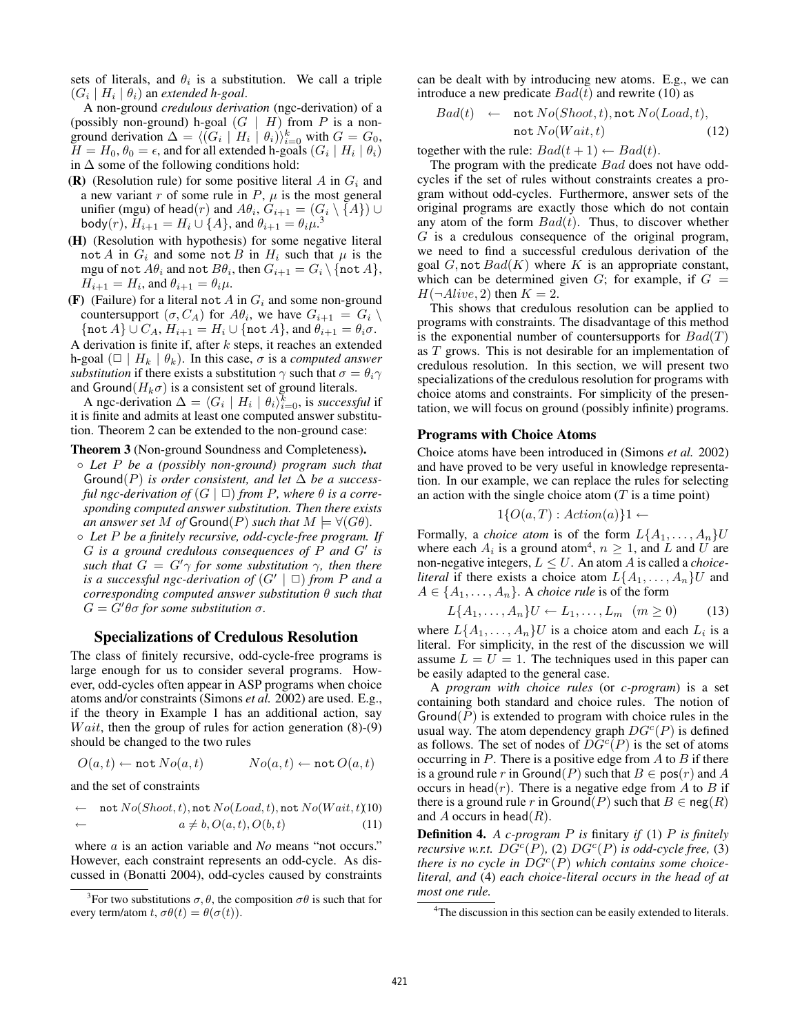sets of literals, and  $\theta_i$  is a substitution. We call a triple  $(G_i \mid H_i \mid \theta_i)$  an *extended h-goal*.

A non-ground *credulous derivation* (ngc-derivation) of a (possibly non-ground) h-goal  $(G | H)$  from P is a nonground derivation  $\Delta = \langle (G_i \mid H_i \mid \theta_i) \rangle_{i=0}^k$  with  $G = G_0$ ,  $H = H_0$ ,  $\theta_0 = \epsilon$ , and for all extended h-goals  $(G_i \mid H_i \mid \theta_i)$ in  $\Delta$  some of the following conditions hold:

- (R) (Resolution rule) for some positive literal A in  $G_i$  and a new variant  $r$  of some rule in  $P$ ,  $\mu$  is the most general unifier (mgu) of head $(r)$  and  $A\theta_i$ ,  $G_{i+1} = (G_i \setminus \{A\}) \cup$ body $(r)$ ,  $\bar{H}_{i+1} = H_i \cup \{A\}$ , and  $\theta_{i+1} = \theta_i \mu$ .<sup>3</sup>
- (H) (Resolution with hypothesis) for some negative literal not A in  $G_i$  and some not B in  $H_i$  such that  $\mu$  is the mgu of not  $A\theta_i$  and not  $B\theta_i,$  then  $G_{i+1} = G_i \setminus \{\texttt{not}\, A\},$  $H_{i+1} = H_i$ , and  $\theta_{i+1} = \theta_i \mu$ .
- (F) (Failure) for a literal not A in  $G_i$  and some non-ground countersupport  $(\sigma, C_A)$  for  $A\theta_i$ , we have  $G_{i+1} = G_i \setminus$  ${\mathcal{A}}\cup C_A$ ,  $H_{i+1} = H_i \cup {\mathcal{A}}$ , and  $\theta_{i+1} = \theta_i \sigma$ .

A derivation is finite if, after  $k$  steps, it reaches an extended h-goal  $(\Box \mid H_k \mid \theta_k)$ . In this case,  $\sigma$  is a *computed answer substitution* if there exists a substitution  $\gamma$  such that  $\sigma = \theta_i \gamma$ and Ground( $H_k\sigma$ ) is a consistent set of ground literals.

A ngc-derivation  $\Delta = \langle G_i \mid H_i \mid \theta_i \rangle_{i=0}^k$ , is *successful* if it is finite and admits at least one computed answer substitution. Theorem 2 can be extended to the non-ground case:

#### Theorem 3 (Non-ground Soundness and Completeness).

- *Let* P *be a (possibly non-ground) program such that* Ground(P) *is order consistent, and let*  $\Delta$  *be a successful ngc-derivation of*  $(G | \Box)$  *from P, where*  $\theta$  *is a corresponding computed answer substitution. Then there exists an answer set* M *of* Ground(P) *such that*  $M \models \forall (G\theta)$ *.*
- *Let* P *be a finitely recursive, odd-cycle-free program. If*  $G$  is a ground credulous consequences of  $\tilde{P}$  and  $G'$  is *such that*  $G = G' \gamma$  *for some substitution*  $\gamma$ *, then there is a successful ngc-derivation of*  $(G' | \Box)$  *from P and a corresponding computed answer substitution* θ *such that*  $G = \hat{G}'\theta\sigma$  for some substitution  $\sigma$ .

# Specializations of Credulous Resolution

The class of finitely recursive, odd-cycle-free programs is large enough for us to consider several programs. However, odd-cycles often appear in ASP programs when choice atoms and/or constraints (Simons *et al.* 2002) are used. E.g., if the theory in Example 1 has an additional action, say *Wait*, then the group of rules for action generation  $(8)-(9)$ should be changed to the two rules

$$
O(a,t) \leftarrow \texttt{not } No(a,t) \qquad \qquad No(a,t) \leftarrow \texttt{not } O(a,t)
$$

and the set of constraints

$$
\leftarrow \text{ not } No(Shoot, t), \text{not } No(Load, t), \text{not } No(Wait, t)(10)\n\leftarrow a \neq b, O(a, t), O(b, t) \tag{11}
$$

where *a* is an action variable and *No* means "not occurs." However, each constraint represents an odd-cycle. As discussed in (Bonatti 2004), odd-cycles caused by constraints

can be dealt with by introducing new atoms. E.g., we can introduce a new predicate  $Bad(t)$  and rewrite (10) as

$$
Bad(t) \leftarrow \text{not } No(Show, t), \text{not } No(Load, t), \\ \text{not } No(Wait, t) \qquad (12)
$$

together with the rule:  $Bad(t + 1) \leftarrow Bad(t)$ .

The program with the predicate *Bad* does not have oddcycles if the set of rules without constraints creates a program without odd-cycles. Furthermore, answer sets of the original programs are exactly those which do not contain any atom of the form  $Bad(t)$ . Thus, to discover whether  $G$  is a credulous consequence of the original program, we need to find a successful credulous derivation of the goal  $G$ , not  $Bad(K)$  where K is an appropriate constant, which can be determined given  $G$ ; for example, if  $G =$  $H(\neg$ Alive, 2) then  $K = 2$ .

This shows that credulous resolution can be applied to programs with constraints. The disadvantage of this method is the exponential number of countersupports for  $Bad(T)$ as T grows. This is not desirable for an implementation of credulous resolution. In this section, we will present two specializations of the credulous resolution for programs with choice atoms and constraints. For simplicity of the presentation, we will focus on ground (possibly infinite) programs.

### Programs with Choice Atoms

Choice atoms have been introduced in (Simons *et al.* 2002) and have proved to be very useful in knowledge representation. In our example, we can replace the rules for selecting an action with the single choice atom  $(T$  is a time point)

$$
1\{O(a,T): Action(a)\}1 \leftarrow
$$

Formally, a *choice atom* is of the form  $L\{A_1, \ldots, A_n\}$ U where each  $A_i$  is a ground atom<sup>4</sup>,  $n \geq 1$ , and L and U are non-negative integers,  $L \leq U$ . An atom A is called a *choiceliteral* if there exists a choice atom  $L\{A_1, \ldots, A_n\}$ U and  $A \in \{A_1, \ldots, A_n\}$ . A *choice rule* is of the form

$$
L\{A_1,\ldots,A_n\}U \leftarrow L_1,\ldots,L_m \quad (m \ge 0) \tag{13}
$$

where  $L\{A_1,\ldots,A_n\}$ U is a choice atom and each  $L_i$  is a literal. For simplicity, in the rest of the discussion we will assume  $L = U = 1$ . The techniques used in this paper can be easily adapted to the general case.

A *program with choice rules* (or *c-program*) is a set containing both standard and choice rules. The notion of Ground( $P$ ) is extended to program with choice rules in the usual way. The atom dependency graph  $DG<sup>c</sup>(P)$  is defined as follows. The set of nodes of  $\overline{DG^c}(P)$  is the set of atoms occurring in  $P$ . There is a positive edge from  $A$  to  $B$  if there is a ground rule r in Ground(P) such that  $B \in \text{pos}(r)$  and A occurs in head(*r*). There is a negative edge from A to B if there is a ground rule r in Ground(P) such that  $B \in \text{neg}(R)$ and A occurs in head( $R$ ).

Definition 4. *A c-program* P *is* finitary *if* (1) P *is finitely recursive w.r.t.*  $D\tilde{G}^c(P)$ , (2)  $DG^c(P)$  *is odd-cycle free,* (3) *there is no cycle in*  $\hat{DG}^c(P)$  *which contains some choiceliteral, and* (4) *each choice-literal occurs in the head of at most one rule.*

<sup>&</sup>lt;sup>3</sup> For two substitutions  $\sigma$ ,  $\theta$ , the composition  $\sigma\theta$  is such that for every term/atom t,  $\sigma\theta(t) = \theta(\sigma(t))$ .

<sup>&</sup>lt;sup>4</sup>The discussion in this section can be easily extended to literals.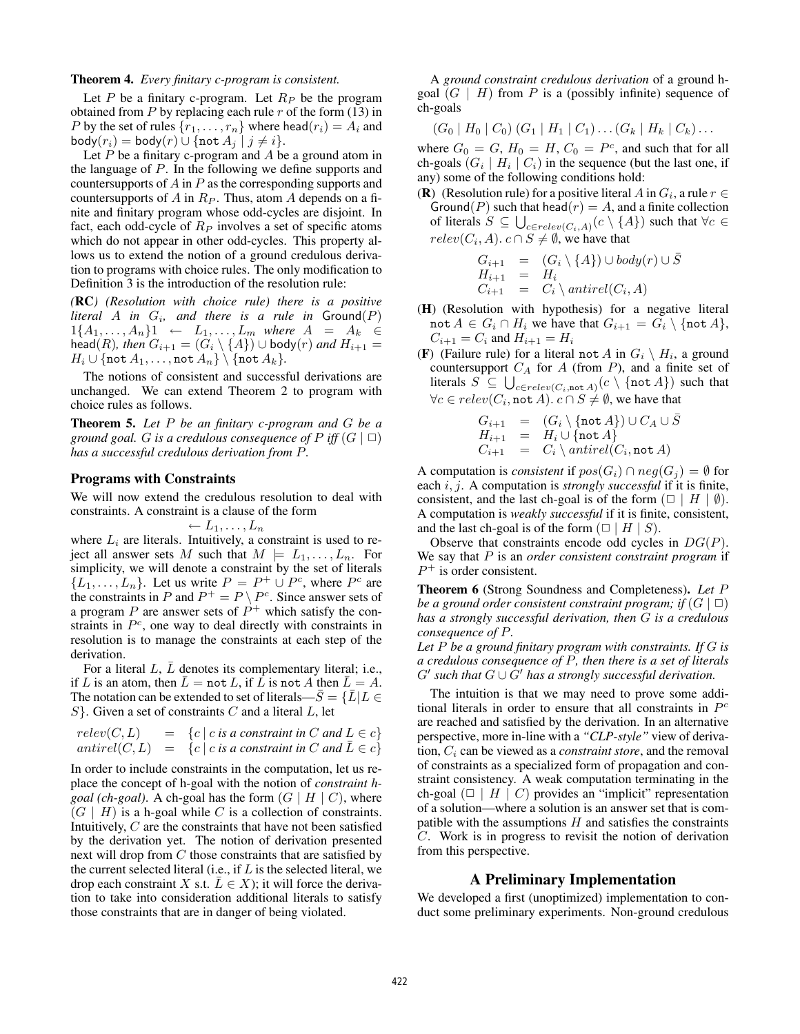#### Theorem 4. *Every finitary c-program is consistent.*

Let P be a finitary c-program. Let  $R_P$  be the program obtained from  $P$  by replacing each rule  $r$  of the form (13) in P by the set of rules  $\{r_1, \ldots, r_n\}$  where head $(r_i) = A_i$  and  $body(r_i) = body(r) \cup \{not A_j | j \neq i\}.$ 

Let  $P$  be a finitary c-program and  $A$  be a ground atom in the language of P. In the following we define supports and countersupports of  $A$  in  $P$  as the corresponding supports and countersupports of A in  $R_P$ . Thus, atom A depends on a finite and finitary program whose odd-cycles are disjoint. In fact, each odd-cycle of  $R_P$  involves a set of specific atoms which do not appear in other odd-cycles. This property allows us to extend the notion of a ground credulous derivation to programs with choice rules. The only modification to Definition 3 is the introduction of the resolution rule:

*(*RC*) (Resolution with choice rule) there is a positive*  $$  $1\{A_1, \ldots, A_n\}1 \leftarrow L_1, \ldots, L_m$  where  $A = A_k \in$  $\mathsf{head}(R)$ *, then*  $G_{i+1} = (G_i \setminus \{A\}) \cup \mathsf{body}(r)$  *and*  $H_{i+1} =$  $H_i \cup \{\texttt{not } A_1, \ldots, \texttt{not } A_n\} \setminus \{\texttt{not } A_k\}.$ 

The notions of consistent and successful derivations are unchanged. We can extend Theorem 2 to program with choice rules as follows.

Theorem 5. *Let* P *be an finitary c-program and* G *be a ground goal. G is a credulous consequence of*  $P$  *iff*  $(G | \Box)$ *has a successful credulous derivation from* P*.*

#### Programs with Constraints

We will now extend the credulous resolution to deal with constraints. A constraint is a clause of the form

$$
\leftarrow L_1, \ldots, L_n
$$

where  $L_i$  are literals. Intuitively, a constraint is used to reject all answer sets M such that  $M \models L_1, \ldots, L_n$ . For simplicity, we will denote a constraint by the set of literals  $\{L_1, \ldots, L_n\}$ . Let us write  $P = P^+ \cup P^c$ , where  $P^c$  are the constraints in P and  $P^+ = P \setminus P^c$ . Since answer sets of a program P are answer sets of  $P^+$  which satisfy the constraints in  $P<sup>c</sup>$ , one way to deal directly with constraints in resolution is to manage the constraints at each step of the derivation.

For a literal L,  $\overline{L}$  denotes its complementary literal; i.e., if L is an atom, then  $\overline{L} =$  not L, if  $\overline{L}$  is not A then  $\overline{L} = A$ . The notation can be extended to set of literals— $\overline{S} = \{\overline{L} | L \in$  $S$ . Given a set of constraints C and a literal L, let

$$
relev(C, L) = \{c \mid c \text{ is a constraint in } C \text{ and } L \in c\}
$$
  
antirel(C, L) = \{c \mid c \text{ is a constraint in } C \text{ and } \overline{L} \in c\}

In order to include constraints in the computation, let us replace the concept of h-goal with the notion of *constraint hgoal (ch-goal)*. A ch-goal has the form  $(G | H | C)$ , where  $(G \mid H)$  is a h-goal while C is a collection of constraints. Intuitively, C are the constraints that have not been satisfied by the derivation yet. The notion of derivation presented next will drop from C those constraints that are satisfied by the current selected literal (i.e., if  $L$  is the selected literal, we drop each constraint X s.t.  $\overline{L} \in X$ ); it will force the derivation to take into consideration additional literals to satisfy those constraints that are in danger of being violated.

A *ground constraint credulous derivation* of a ground hgoal  $(G | H)$  from P is a (possibly infinite) sequence of ch-goals

$$
(G_0 | H_0 | C_0) (G_1 | H_1 | C_1) \dots (G_k | H_k | C_k) \dots
$$

where  $G_0 = G$ ,  $H_0 = H$ ,  $C_0 = P^c$ , and such that for all ch-goals  $(G_i \mid H_i \mid C_i)$  in the sequence (but the last one, if any) some of the following conditions hold:

(**R**) (Resolution rule) for a positive literal A in  $G_i$ , a rule  $r \in$ Ground(P) such that head( $r$ ) = A, and a finite collection of literals  $S \subseteq \bigcup_{c \in relev(C_i, A)} (c \setminus \{A\})$  such that  $\forall c \in$  $relev(C_i, A)$ .  $c \cap S \neq \emptyset$ , we have that

$$
G_{i+1} = (G_i \setminus \{A\}) \cup body(r) \cup \overline{S}
$$
  
\n
$$
H_{i+1} = H_i
$$
  
\n
$$
C_{i+1} = C_i \setminus antirel(C_i, A)
$$

- (H) (Resolution with hypothesis) for a negative literal not  $A \in G_i \cap H_i$  we have that  $G_{i+1} = G_i \setminus \{\text{not } A\},\$  $C_{i+1} = C_i$  and  $H_{i+1} = H_i$
- (F) (Failure rule) for a literal not A in  $G_i \setminus H_i$ , a ground countersupport  $C_A$  for A (from P), and a finite set of literals  $S \subseteq \bigcup_{c \in relev(C_i, \text{not } A)} (c \setminus \{\texttt{not } A\})$  such that  $\forall c \in relev(C_i, \texttt{not }A) \text{. } c \cap S \neq \emptyset$ , we have that

$$
G_{i+1} = (G_i \setminus \{\text{not } A\}) \cup C_A \cup \overline{S}
$$
  
\n
$$
H_{i+1} = H_i \cup \{\text{not } A\}
$$
  
\n
$$
C_{i+1} = C_i \setminus antirel(C_i, \text{not } A)
$$

A computation is *consistent* if  $pos(G_i) \cap neg(G_j) = \emptyset$  for each i, j. A computation is *strongly successful* if it is finite, consistent, and the last ch-goal is of the form  $(\square \mid H \mid \emptyset)$ . A computation is *weakly successful* if it is finite, consistent, and the last ch-goal is of the form  $(\square \mid H \mid S)$ .

Observe that constraints encode odd cycles in  $DG(P)$ . We say that P is an *order consistent constraint program* if  $P^+$  is order consistent.

Theorem 6 (Strong Soundness and Completeness). *Let* P *be a ground order consistent constraint program; if*  $(G | \Box)$ *has a strongly successful derivation, then* G *is a credulous consequence of* P*.*

*Let* P *be a ground finitary program with constraints. If* G *is a credulous consequence of* P*, then there is a set of literals*  $G'$  such that  $G \cup \tilde{G}'$  has a strongly successful derivation.

The intuition is that we may need to prove some additional literals in order to ensure that all constraints in  $P<sup>c</sup>$ are reached and satisfied by the derivation. In an alternative perspective, more in-line with a *"CLP-style"* view of derivation, C<sup>i</sup> can be viewed as a *constraint store*, and the removal of constraints as a specialized form of propagation and constraint consistency. A weak computation terminating in the ch-goal  $(\square \mid H \mid C)$  provides an "implicit" representation of a solution—where a solution is an answer set that is compatible with the assumptions  $H$  and satisfies the constraints C. Work is in progress to revisit the notion of derivation from this perspective.

### A Preliminary Implementation

We developed a first (unoptimized) implementation to conduct some preliminary experiments. Non-ground credulous